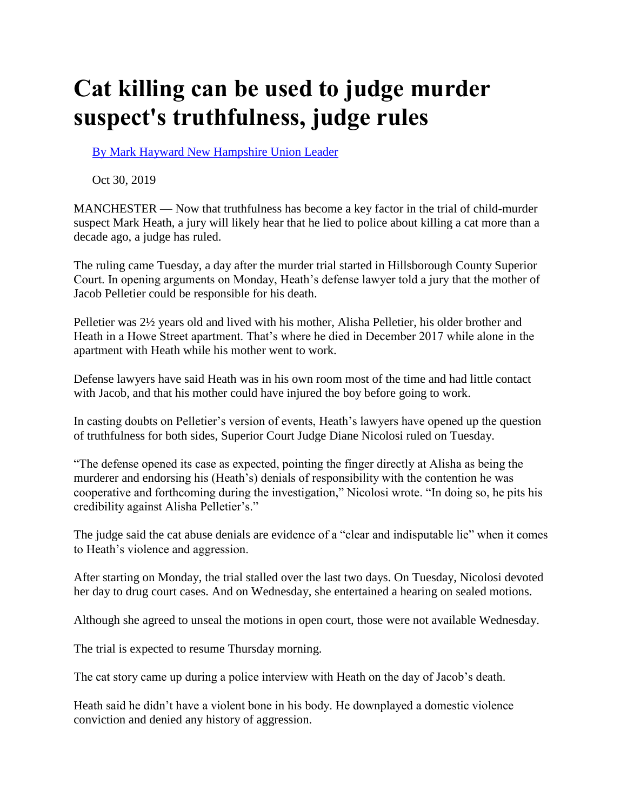## **Cat killing can be used to judge murder suspect's truthfulness, judge rules**

[By Mark Hayward New Hampshire Union Leader](https://www.unionleader.com/users/profile/Mark%20Hayward) 

Oct 30, 2019

MANCHESTER — Now that truthfulness has become a key factor in the trial of child-murder suspect Mark Heath, a jury will likely hear that he lied to police about killing a cat more than a decade ago, a judge has ruled.

The ruling came Tuesday, a day after the murder trial started in Hillsborough County Superior Court. In opening arguments on Monday, Heath's defense lawyer told a jury that the mother of Jacob Pelletier could be responsible for his death.

Pelletier was 2½ years old and lived with his mother, Alisha Pelletier, his older brother and Heath in a Howe Street apartment. That's where he died in December 2017 while alone in the apartment with Heath while his mother went to work.

Defense lawyers have said Heath was in his own room most of the time and had little contact with Jacob, and that his mother could have injured the boy before going to work.

In casting doubts on Pelletier's version of events, Heath's lawyers have opened up the question of truthfulness for both sides, Superior Court Judge Diane Nicolosi ruled on Tuesday.

"The defense opened its case as expected, pointing the finger directly at Alisha as being the murderer and endorsing his (Heath's) denials of responsibility with the contention he was cooperative and forthcoming during the investigation," Nicolosi wrote. "In doing so, he pits his credibility against Alisha Pelletier's."

The judge said the cat abuse denials are evidence of a "clear and indisputable lie" when it comes to Heath's violence and aggression.

After starting on Monday, the trial stalled over the last two days. On Tuesday, Nicolosi devoted her day to drug court cases. And on Wednesday, she entertained a hearing on sealed motions.

Although she agreed to unseal the motions in open court, those were not available Wednesday.

The trial is expected to resume Thursday morning.

The cat story came up during a police interview with Heath on the day of Jacob's death.

Heath said he didn't have a violent bone in his body. He downplayed a domestic violence conviction and denied any history of aggression.